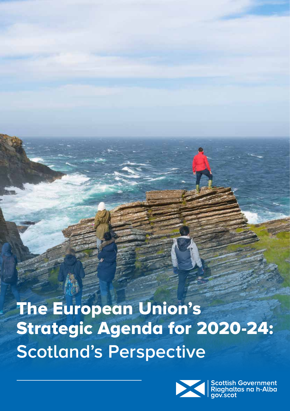# The European Union's Strategic Agenda for 2020-24: **Scotland's Perspective**



Scottish Government<br>Riaghaltas na h-Alba<br>gov.scot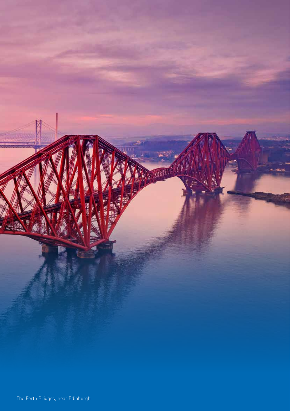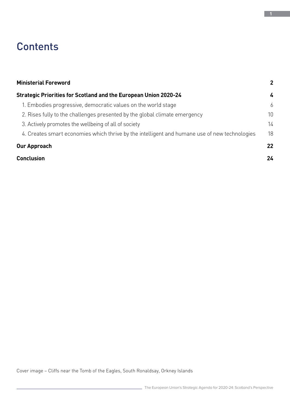### **Contents**

| <b>Ministerial Foreword</b>                                                                   | $\overline{2}$ |
|-----------------------------------------------------------------------------------------------|----------------|
| <b>Strategic Priorities for Scotland and the European Union 2020-24</b>                       | 4              |
| 1. Embodies progressive, democratic values on the world stage                                 | 6              |
| 2. Rises fully to the challenges presented by the global climate emergency                    | 10             |
| 3. Actively promotes the wellbeing of all of society                                          | 14             |
| 4. Creates smart economies which thrive by the intelligent and humane use of new technologies | 18             |
| <b>Our Approach</b>                                                                           | 22             |
| <b>Conclusion</b>                                                                             | 24             |

Cover image – Cliffs near the Tomb of the Eagles, South Ronaldsay, Orkney Islands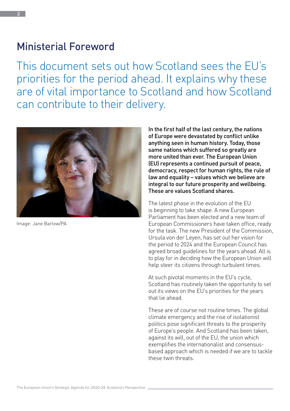### Ministerial Foreword

This document sets out how Scotland sees the EU's priorities for the period ahead. It explains why these are of vital importance to Scotland and how Scotland can contribute to their delivery.



Image: Jane Barlow/PA

In the first half of the last century, the nations of Europe were devastated by conflict unlike anything seen in human history. Today, those same nations which suffered so greatly are more united than ever. The European Union (EU) represents a continued pursuit of peace, democracy, respect for human rights, the rule of law and equality – values which we believe are integral to our future prosperity and wellbeing. These are values Scotland shares.

The latest phase in the evolution of the EU is beginning to take shape. A new European Parliament has been elected and a new team of European Commissioners have taken office, ready for the task. The new President of the Commission, Ursula von der Leyen, has set out her vision for the period to 2024 and the European Council has agreed broad guidelines for the years ahead. All is to play for in deciding how the European Union will help steer its citizens through turbulent times.

At such pivotal moments in the EU's cycle, Scotland has routinely taken the opportunity to set out its views on the EU's priorities for the years that lie ahead.

These are of course not routine times. The global climate emergency and the rise of isolationist politics pose significant threats to the prosperity of Europe's people. And Scotland has been taken, against its will, out of the EU, the union which exemplifies the internationalist and consensusbased approach which is needed if we are to tackle these twin threats.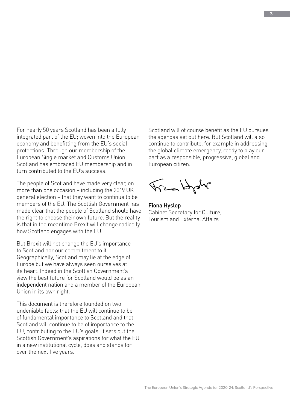For nearly 50 years Scotland has been a fully integrated part of the EU; woven into the European economy and benefitting from the EU's social protections. Through our membership of the European Single market and Customs Union, Scotland has embraced EU membership and in turn contributed to the EU's success.

The people of Scotland have made very clear, on more than one occasion – including the 2019 UK general election – that they want to continue to be members of the EU. The Scottish Government has made clear that the people of Scotland should have the right to choose their own future. But the reality is that in the meantime Brexit will change radically how Scotland engages with the EU.

But Brexit will not change the EU's importance to Scotland nor our commitment to it. Geographically, Scotland may lie at the edge of Europe but we have always seen ourselves at its heart. Indeed in the Scottish Government's view the best future for Scotland would be as an independent nation and a member of the European Union in its own right.

This document is therefore founded on two undeniable facts: that the EU will continue to be of fundamental importance to Scotland and that Scotland will continue to be of importance to the EU, contributing to the EU's goals. It sets out the Scottish Government's aspirations for what the EU, in a new institutional cycle, does and stands for over the next five years.

Scotland will of course benefit as the EU pursues the agendas set out here. But Scotland will also continue to contribute, for example in addressing the global climate emergency, ready to play our part as a responsible, progressive, global and European citizen.

Frankph

Fiona Hyslop Cabinet Secretary for Culture, Tourism and External Affairs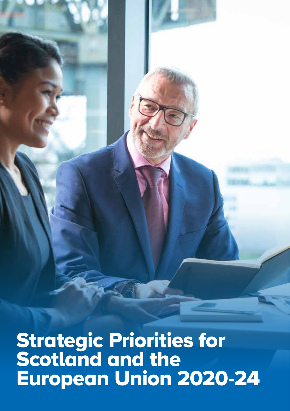The European Union's Strategic Agenda for 2020-24: Scotland's Perspective Strategic Priorities for Scotland and the European Union 2020-24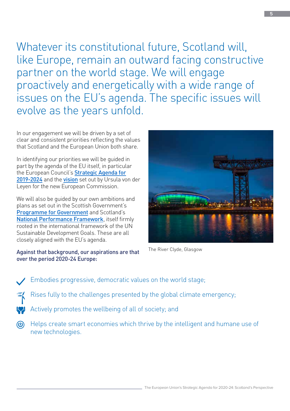Whatever its constitutional future, Scotland will, like Europe, remain an outward facing constructive partner on the world stage. We will engage proactively and energetically with a wide range of issues on the EU's agenda. The specific issues will evolve as the years unfold.

In our engagement we will be driven by a set of clear and consistent priorities reflecting the values that Scotland and the European Union both share.

In identifying our priorities we will be guided in part by the agenda of the EU itself, in particular the European Council's **[Strategic Agenda for](https://www.consilium.europa.eu/en/press/press-releases/2019/06/20/a-new-strategic-agenda-2019-2024/)** [2019-2024](https://www.consilium.europa.eu/en/press/press-releases/2019/06/20/a-new-strategic-agenda-2019-2024/) and the [vision](https://ec.europa.eu/commission/sites/beta-political/files/political-guidelines-next-commission_en.pdf) set out by Ursula von der Leyen for the new European Commission.

We will also be guided by our own ambitions and plans as set out in the Scottish Government's [Programme for Government](https://www.gov.scot/programme-for-government/) and Scotland's [National Performance Framework](https://nationalperformance.gov.scot/), itself firmly rooted in the international framework of the UN Sustainable Development Goals. These are all closely aligned with the EU's agenda.

#### Against that background, our aspirations are that over the period 2020-24 Europe:



The River Clyde, Glasgow

- Embodies progressive, democratic values on the world stage;
	- Rises fully to the challenges presented by the global climate emergency;
	- Actively promotes the wellbeing of all of society; and
- Helps create smart economies which thrive by the intelligent and humane use of  $\circledR$ new technologies.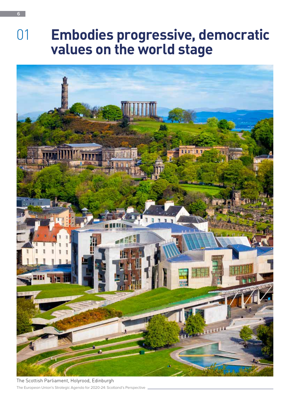## 01 **Embodies progressive, democratic values on the world stage**



The European Union's Strategic Agenda for 2020-24: Scotland's Perspective The Scottish Parliament, Holyrood, Edinburgh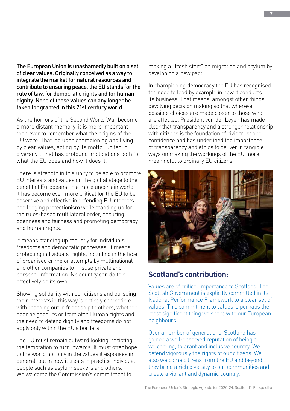The European Union is unashamedly built on a set of clear values. Originally conceived as a way to integrate the market for natural resources and contribute to ensuring peace, the EU stands for the rule of law, for democratic rights and for human dignity. None of those values can any longer be taken for granted in this 21st century world.

As the horrors of the Second World War become a more distant memory, it is more important than ever to remember what the origins of the EU were. That includes championing and living by clear values, acting by its motto "united in diversity". That has profound implications both for what the FU does and how it does it.

There is strength in this unity to be able to promote EU interests and values on the global stage to the benefit of Europeans. In a more uncertain world, it has become even more critical for the EU to be assertive and effective in defending EU interests challenging protectionism while standing up for the rules-based multilateral order, ensuring openness and fairness and promoting democracy and human rights.

It means standing up robustly for individuals' freedoms and democratic processes. It means protecting individuals' rights, including in the face of organised crime or attempts by multinational and other companies to misuse private and personal information. No country can do this effectively on its own.

Showing solidarity with our citizens and pursuing their interests in this way is entirely compatible with reaching out in friendship to others, whether near neighbours or from afar. Human rights and the need to defend dignity and freedoms do not apply only within the EU's borders.

The EU must remain outward looking, resisting the temptation to turn inwards. It must offer hope to the world not only in the values it espouses in general, but in how it treats in practice individual people such as asylum seekers and others. We welcome the Commission's commitment to

making a "fresh start" on migration and asylum by developing a new pact.

In championing democracy the EU has recognised the need to lead by example in how it conducts its business. That means, amongst other things, devolving decision making so that wherever possible choices are made closer to those who are affected. President von der Leyen has made clear that transparency and a stronger relationship with citizens is the foundation of civic trust and confidence and has underlined the importance of transparency and ethics to deliver in tangible ways on making the workings of the EU more meaningful to ordinary EU citizens.



#### **Scotland's contribution:**

Values are of critical importance to Scotland. The Scottish Government is explicitly committed in its National Performance Framework to a clear set of values. This commitment to values is perhaps the most significant thing we share with our European neighbours.

Over a number of generations, Scotland has gained a well-deserved reputation of being a welcoming, tolerant and inclusive country. We defend vigorously the rights of our citizens. We also welcome citizens from the EU and beyond: they bring a rich diversity to our communities and create a vibrant and dynamic country.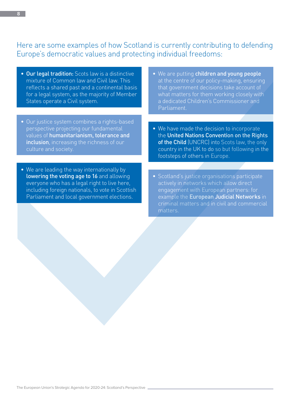#### Here are some examples of how Scotland is currently contributing to defending Europe's democratic values and protecting individual freedoms:

- Our legal tradition: Scots law is a distinctive mixture of Common law and Civil law. This reflects a shared past and a continental basis for a legal system, as the majority of Member States operate a Civil system.
- Our justice system combines a rights-based perspective projecting our fundamental values of humanitarianism, tolerance and inclusion, increasing the richness of our culture and society.
- We are leading the way internationally by lowering the voting age to 16 and allowing everyone who has a legal right to live here, including foreign nationals, to vote in Scottish Parliament and local government elections.
- We are putting children and young people at the centre of our policy-making, ensuring that government decisions take account of what matters for them working closely with a dedicated Children's Commissioner and Parliament.
- We have made the decision to incorporate the United Nations Convention on the Rights of the Child (UNCRC) into Scots law, the only country in the UK to do so but following in the footsteps of others in Europe.
- Scotland's justice organisations participate actively in networks which allow direct engagement with European partners: for example the European Judicial Networks in criminal matters and in civil and commercial matters.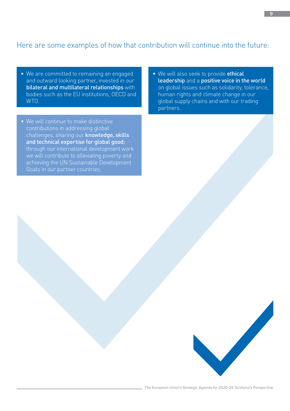#### Here are some examples of how that contribution will continue into the future:

- We are committed to remaining an engaged and outward looking partner, invested in our bilateral and multilateral relationships with bodies such as the EU institutions, OECD and WTO.
- We will continue to make distinctive contributions in addressing global challenges, sharing our knowledge, skills and technical expertise for global good: through our international development work we will contribute to alleviating poverty and achieving the UN Sustainable Development Goals in our partner countries.
- We will also seek to provide ethical leadership and a positive voice in the world on global issues such as solidarity, tolerance, human rights and climate change in our global supply chains and with our trading partners.

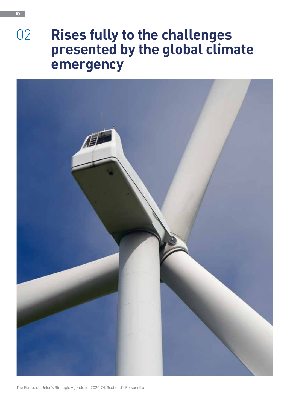## 02 **Rises fully to the challenges presented by the global climate emergency**



The European Union's Strategic Agenda for 2020-24: Scotland's Perspective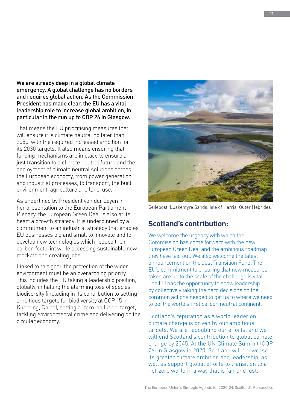We are already deep in a global climate emergency. A global challenge has no borders and requires global action. As the Commission President has made clear, the EU has a vital leadership role to increase global ambition, in particular in the run up to COP 26 in Glasgow.

That means the EU prioritising measures that will ensure it is climate neutral no later than 2050, with the required increased ambition for its 2030 targets. It also means ensuring that funding mechanisms are in place to ensure a just transition to a climate neutral future and the deployment of climate neutral solutions across the European economy, from power generation and industrial processes, to transport, the built environment, agriculture and land-use.

As underlined by President von der Leyen in her presentation to the European Parliament Plenary, the European Green Deal is also at its heart a growth strategy. It is underpinned by a commitment to an industrial strategy that enables EU businesses big and small to innovate and to develop new technologies which reduce their carbon footprint while accessing sustainable new markets and creating jobs.

Linked to this goal, the protection of the wider environment must be an overarching priority. This includes the EU taking a leadership position, globally, in halting the alarming loss of species biodiversity (including in its contribution to setting ambitious targets for biodiversity at COP 15 in Kunming, China), setting a 'zero-pollution' target, tackling environmental crime and delivering on the circular economy.



Seilebost, Luskentyre Sands, Isle of Harris, Outer Hebrides

#### **Scotland's contribution:**

We welcome the urgency with which the Commission has come forward with the new European Green Deal and the ambitious roadmap they have laid out. We also welcome the latest announcement on the Just Transition Fund. The EU's commitment to ensuring that new measures taken are up to the scale of the challenge is vital. The EU has the opportunity to show leadership by collectively taking the hard decisions on the common actions needed to get us to where we need to be: the world's first carbon neutral continent.

Scotland's reputation as a world leader on climate change is driven by our ambitious targets. We are redoubling our efforts, and we will end Scotland's contribution to global climate change by 2045. At the UN Climate Summit (COP 26) in Glasgow in 2020, Scotland will showcase its greater climate ambition and leadership, as well as support global efforts to transition to a net-zero world in a way that is fair and just.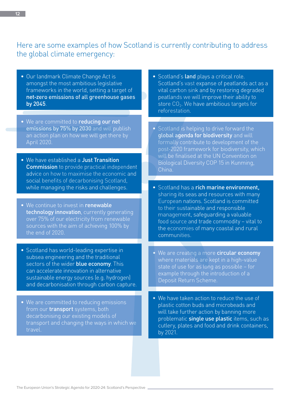#### Here are some examples of how Scotland is currently contributing to address the global climate emergency:

- Our landmark Climate Change Act is amongst the most ambitious legislative frameworks in the world, setting a target of net-zero emissions of all greenhouse gases by 2045.
- We are committed to reducing our net emissions by 75% by 2030 and will publish an action plan on how we will get there by April 2020.
- We have established a Just Transition Commission to provide practical independent advice on how to maximise the economic and social benefits of decarbonising Scotland, while managing the risks and challenges.
- We continue to invest in renewable technology innovation, currently generating over 75% of our electricity from renewable sources with the aim of achieving 100% by the end of 2020.
- Scotland has world-leading expertise in subsea engineering and the traditional sectors of the wider **blue economy**. This can accelerate innovation in alternative sustainable energy sources (e.g. hydrogen) and decarbonisation through carbon capture.
- We are committed to reducing emissions from our **transport** systems, both decarbonising our existing models of transport and changing the ways in which we travel.
- Scotland's land plays a critical role. Scotland's vast expanse of peatlands act as a vital carbon sink and by restoring degraded peatlands we will improve their ability to store  $CO<sub>2</sub>$ . We have ambitious targets for reforestation.
- Scotland is helping to drive forward the global agenda for biodiversity and will formally contribute to development of the post-2020 framework for biodiversity, which will be finalised at the UN Convention on Biological Diversity COP 15 in Kunming, China.
- Scotland has a rich marine environment, sharing its seas and resources with many European nations. Scotland is committed to their sustainable and responsible management, safeguarding a valuable food source and trade commodity – vital to the economies of many coastal and rural communities.
- We are creating a more circular economy where materials are kept in a high-value state of use for as long as possible – for example through the introduction of a Deposit Return Scheme.
- We have taken action to reduce the use of plastic cotton buds and microbeads and will take further action by banning more problematic **single use plastic** items, such as cutlery, plates and food and drink containers, by 2021.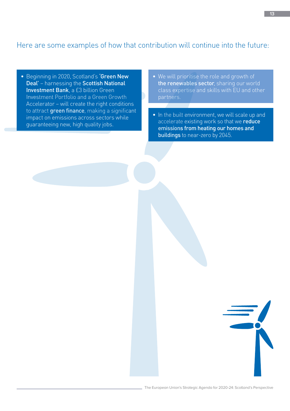#### Here are some examples of how that contribution will continue into the future:

- Beginning in 2020, Scotland's 'Green New Deal' – harnessing the Scottish National Investment Bank, a £3 billion Green Investment Portfolio and a Green Growth Accelerator – will create the right conditions to attract green finance, making a significant impact on emissions across sectors while guaranteeing new, high quality jobs.
- We will prioritise the role and growth of the renewables sector, sharing our world class expertise and skills with EU and other partners.
- In the built environment, we will scale up and accelerate existing work so that we reduce emissions from heating our homes and buildings to near-zero by 2045.

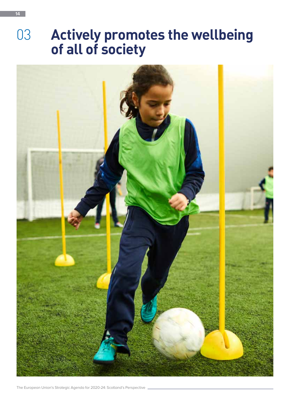## 03 **Actively promotes the wellbeing of all of society**

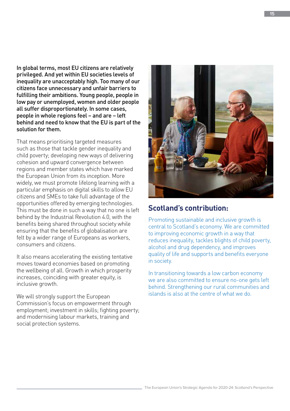In global terms, most EU citizens are relatively privileged. And yet within EU societies levels of inequality are unacceptably high. Too many of our citizens face unnecessary and unfair barriers to fulfilling their ambitions. Young people, people in low pay or unemployed, women and older people all suffer disproportionately. In some cases, people in whole regions feel – and are – left behind and need to know that the EU is part of the solution for them.

That means prioritising targeted measures such as those that tackle gender inequality and child poverty; developing new ways of delivering cohesion and upward convergence between regions and member states which have marked the European Union from its inception. More widely, we must promote lifelong learning with a particular emphasis on digital skills to allow EU citizens and SMEs to take full advantage of the opportunities offered by emerging technologies. This must be done in such a way that no one is left behind by the Industrial Revolution 4.0, with the benefits being shared throughout society while ensuring that the benefits of globalisation are felt by a wider range of Europeans as workers, consumers and citizens.

It also means accelerating the existing tentative moves toward economies based on promoting the wellbeing of all. Growth in which prosperity increases, coinciding with greater equity, is inclusive growth.

We will strongly support the European Commission's focus on empowerment through employment; investment in skills; fighting poverty; and modernising labour markets, training and social protection systems.



#### **Scotland's contribution:**

Promoting sustainable and inclusive growth is central to Scotland's economy. We are committed to improving economic growth in a way that reduces inequality, tackles blights of child poverty, alcohol and drug dependency, and improves quality of life and supports and benefits everyone in society.

In transitioning towards a low carbon economy we are also committed to ensure no-one gets left behind. Strengthening our rural communities and islands is also at the centre of what we do.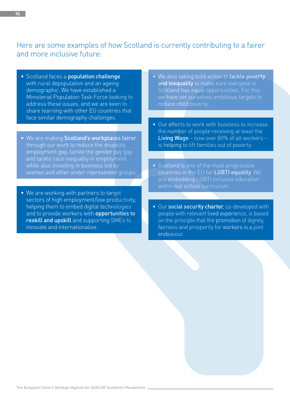#### Here are some examples of how Scotland is currently contributing to a fairer and more inclusive future:

- Scotland faces a **population challenge** with rural depopulation and an ageing demographic. We have established a Ministerial Population Task Force looking to address these issues, and we are keen to share learning with other EU countries that face similar demography challenges.
- We are making Scotland's workplaces fairer through our work to reduce the disability employment gap, tackle the gender pay gap and tackle race inequality in employment while also investing in business led by women and other under-represented groups.
- We are working with partners to target sectors of high employment/low productivity, helping them to embed digital technologies and to provide workers with **opportunities to** reskill and upskill and supporting SMEs to innovate and internationalise.
- We also taking bold action to tackle poverty and inequality to make sure everyone in Scotland has equal opportunities. For this we have set ourselves ambitious targets to reduce child poverty.
- Our efforts to work with business to increase the number of people receiving at least the Living Wage – now over 80% of all workers – is helping to lift families out of poverty.
- Scotland is one of the most progressive countries in the EU for LGBTI equality. We are embedding LGBTI inclusive education within our school curriculum.
- Our social security charter, co-developed with people with relevant lived experience, is based on the principle that the promotion of dignity, fairness and prosperity for workers is a joint endeavour.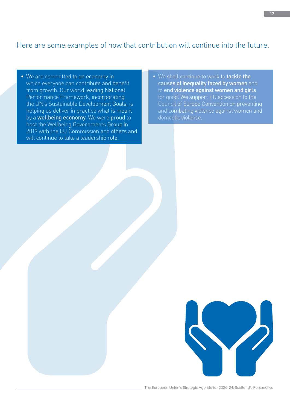#### Here are some examples of how that contribution will continue into the future:

- We are committed to an economy in which everyone can contribute and benefit from growth. Our world leading National Performance Framework, incorporating the UN's Sustainable Development Goals, is helping us deliver in practice what is meant by a **wellbeing economy**. We were proud to host the Wellbeing Governments Group in 2019 with the EU Commission and others and will continue to take a leadership role.
- We shall continue to work to tackle the causes of inequality faced by women and to end violence against women and girls for good. We support EU accession to the Council of Europe Convention on preventing and combating violence against women and domestic violence.

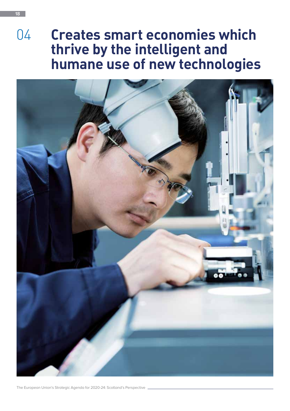## 04 **Creates smart economies which thrive by the intelligent and humane use of new technologies**

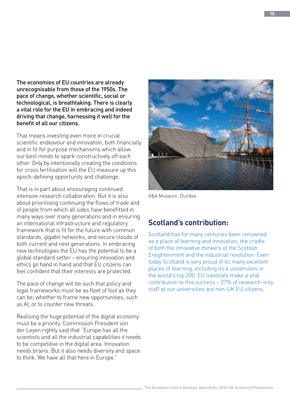The economies of EU countries are already unrecognisable from those of the 1950s. The pace of change, whether scientific, social or technological, is breathtaking. There is clearly a vital role for the EU in embracing and indeed driving that change, harnessing it well for the benefit of all our citizens.

That means investing even more in crucial scientific endeavour and innovation, both financially and in fit for purpose mechanisms which allow our best minds to spark constructively off each other. Only by intentionally creating the conditions for cross fertilisation will the EU measure up this epoch-defining opportunity and challenge.

That is in part about encouraging continued intensive research collaboration. But it is also about prioritising continuing the flows of trade and of people from which all sides have benefitted in many ways over many generations and in ensuring an international infrastructure and regulatory framework that is fit for the future with common standards, gigabit networks, and secure clouds of both current and next generations. In embracing new technologies the EU has the potential to be a global standard setter – ensuring innovation and ethics go hand in hand and that EU citizens can feel confident that their interests are protected.

The pace of change will be such that policy and legal frameworks must be as fleet of foot as they can be, whether to frame new opportunities, such as AI, or to counter new threats.

Realising the huge potential of the digital economy must be a priority. Commission President von der Leyen rightly said that "Europe has all the scientists and all the industrial capabilities it needs to be competitive in the digital area. Innovation needs brains. But it also needs diversity and space to think. We have all that here in Europe."



V&A Museum, Dundee

#### **Scotland's contribution:**

Scotland has for many centuries been renowned as a place of learning and innovation, the cradle of both the innovative thinkers of the Scottish Enlightenment and the industrial revolution. Even today Scotland is very proud of its many excellent places of learning, including its 4 universities in the world's top 200. EU nationals make a vital contribution to this success – 27% of research-only staff at our universities are non-UK EU citizens.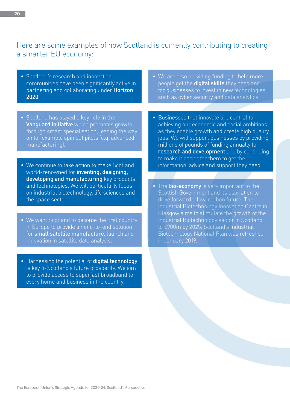#### Here are some examples of how Scotland is currently contributing to creating a smarter EU economy:

- Scotland's research and innovation communities have been significantly active in partnering and collaborating under Horizon 2020.
- Scotland has played a key role in the Vanguard Initiative which promotes growth through smart specialisation, leading the way on for example spin out pilots (e.g. advanced manufacturing).
- We continue to take action to make Scotland world-renowned for inventing, designing, developing and manufacturing key products and technologies. We will particularly focus on industrial biotechnology, life sciences and the space sector.
- We want Scotland to become the first country in Europe to provide an end-to-end solution for small satellite manufacture, launch and innovation in satellite data analysis.
- Harnessing the potential of digital technology is key to Scotland's future prosperity. We aim to provide access to superfast broadband to every home and business in the country.
- We are also providing funding to help more people get the **digital skills** they need and for businesses to invest in new technologies such as cyber security and data analytics.
- Businesses that innovate are central to achieving our economic and social ambitions as they enable growth and create high quality jobs. We will support businesses by providing millions of pounds of funding annually for research and development and by continuing to make it easier for them to get the information, advice and support they need.
- The **bio-economy** is very important to the Scottish Government and its aspiration to drive forward a low-carbon future. The Industrial Biotechnology Innovation Centre in Glasgow aims to stimulate the growth of the Industrial Biotechnology sector in Scotland to £900m by 2025. Scotland's Industrial Biotechnology National Plan was refreshed in January 2019.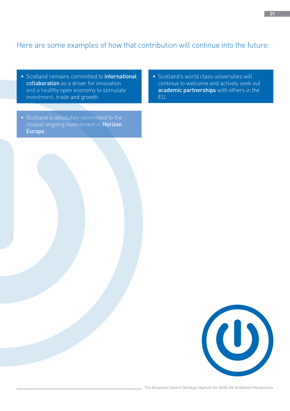#### Here are some examples of how that contribution will continue into the future:

- Scotland remains committed to *international* collaboration as a driver for innovation and a healthy open economy to stimulate investment, trade and growth.
- Scotland is absolutely committed to the closest ongoing involvement in Horizon Europe.
- Scotland's world class universities will continue to welcome and actively seek out academic partnerships with others in the EU.

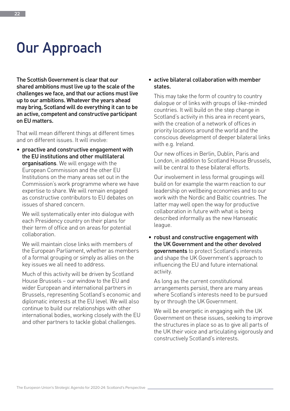## **Our Approach**

The Scottish Government is clear that our shared ambitions must live up to the scale of the challenges we face, and that our actions must live up to our ambitions. Whatever the years ahead may bring, Scotland will do everything it can to be an active, competent and constructive participant on EU matters.

That will mean different things at different times and on different issues. It will involve:

• proactive and constructive engagement with the EU institutions and other multilateral organisations. We will engage with the European Commission and the other EU Institutions on the many areas set out in the Commission's work programme where we have expertise to share. We will remain engaged as constructive contributors to EU debates on issues of shared concern.

We will systematically enter into dialogue with each Presidency country on their plans for their term of office and on areas for potential collaboration.

We will maintain close links with members of the European Parliament, whether as members of a formal grouping or simply as allies on the key issues we all need to address.

Much of this activity will be driven by Scotland House Brussels – our window to the EU and wider European and international partners in Brussels, representing Scotland's economic and diplomatic interests at the EU level. We will also continue to build our relationships with other international bodies, working closely with the EU and other partners to tackle global challenges.

#### • active bilateral collaboration with member states.

This may take the form of country to country dialogue or of links with groups of like-minded countries. It will build on the step change in Scotland's activity in this area in recent years, with the creation of a network of offices in priority locations around the world and the conscious development of deeper bilateral links with e.g. Ireland.

Our new offices in Berlin, Dublin, Paris and London, in addition to Scotland House Brussels, will be central to these bilateral efforts.

Our involvement in less formal groupings will build on for example the warm reaction to our leadership on wellbeing economies and to our work with the Nordic and Baltic countries. The latter may well open the way for productive collaboration in future with what is being described informally as the new Hanseatic league.

• robust and constructive engagement with the UK Government and the other devolved governments to protect Scotland's interests and shape the UK Government's approach to influencing the EU and future international activity.

As long as the current constitutional arrangements persist, there are many areas where Scotland's interests need to be pursued by or through the UK Government.

We will be energetic in engaging with the UK Government on these issues, seeking to improve the structures in place so as to give all parts of the UK their voice and articulating vigorously and constructively Scotland's interests.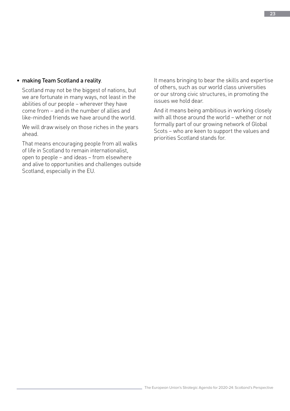#### • making Team Scotland a reality.

Scotland may not be the biggest of nations, but we are fortunate in many ways, not least in the abilities of our people – wherever they have come from – and in the number of allies and like-minded friends we have around the world.

We will draw wisely on those riches in the years ahead.

That means encouraging people from all walks of life in Scotland to remain internationalist, open to people – and ideas – from elsewhere and alive to opportunities and challenges outside Scotland, especially in the EU.

It means bringing to bear the skills and expertise of others, such as our world class universities or our strong civic structures, in promoting the issues we hold dear.

And it means being ambitious in working closely with all those around the world – whether or not formally part of our growing network of Global Scots – who are keen to support the values and priorities Scotland stands for.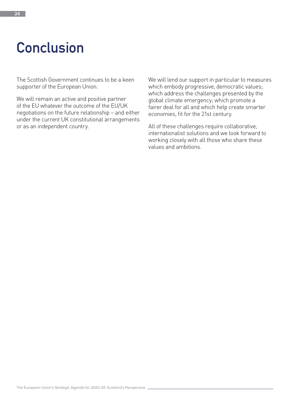## **Conclusion**

The Scottish Government continues to be a keen supporter of the European Union.

We will remain an active and positive partner of the EU whatever the outcome of the EU/UK negotiations on the future relationship – and either under the current UK constitutional arrangements or as an independent country.

We will lend our support in particular to measures which embody progressive, democratic values; which address the challenges presented by the global climate emergency; which promote a fairer deal for all and which help create smarter economies, fit for the 21st century.

All of these challenges require collaborative, internationalist solutions and we look forward to working closely with all those who share these values and ambitions.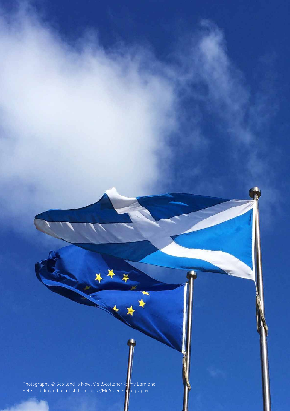Photography © Scotland is Now, VisitScotland/Kenny Lam and Peter Dibdin and Scottish Enterprise/McAteer Photography